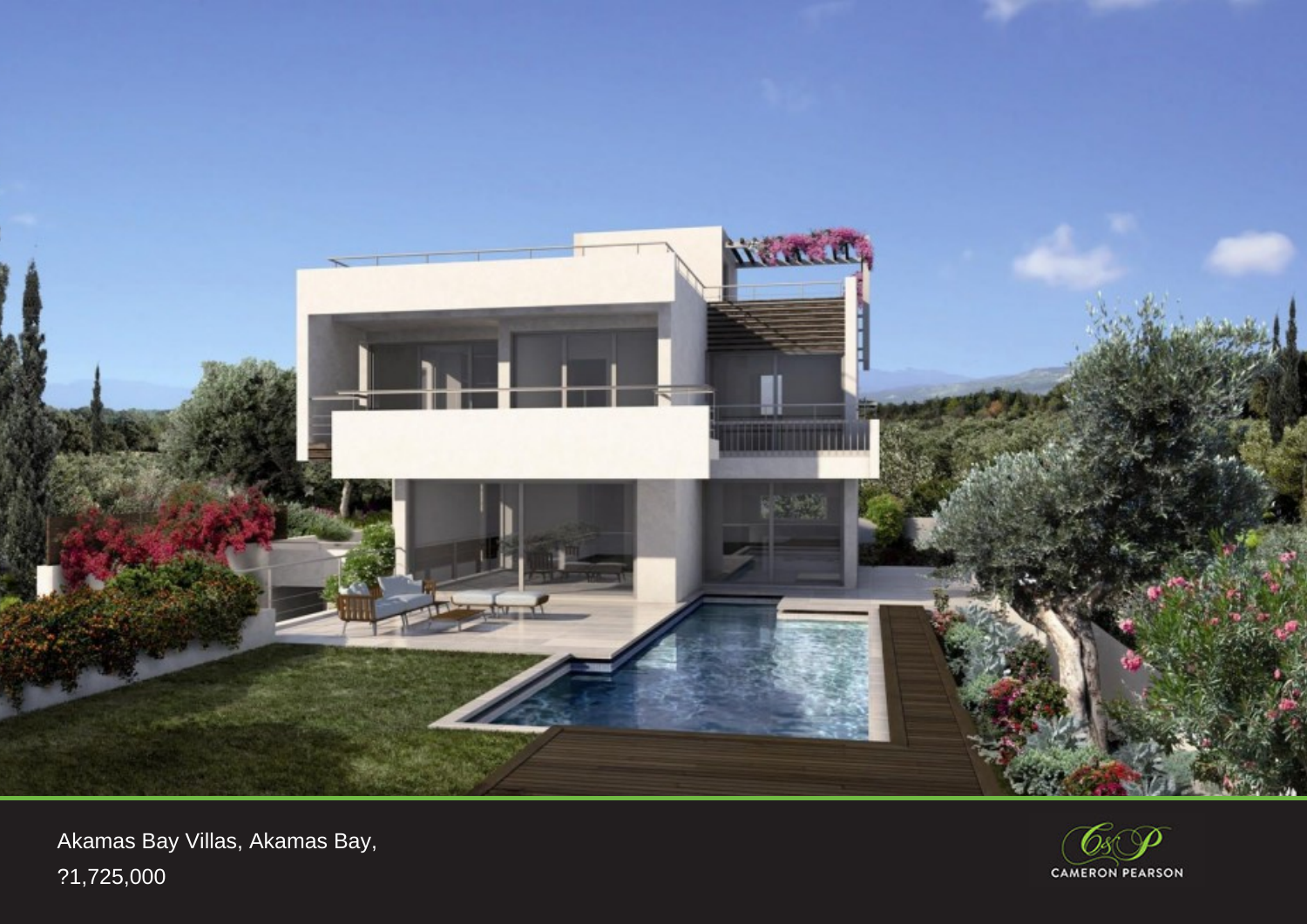

Akamas Bay Villas, Akamas Bay, ?1,725,000

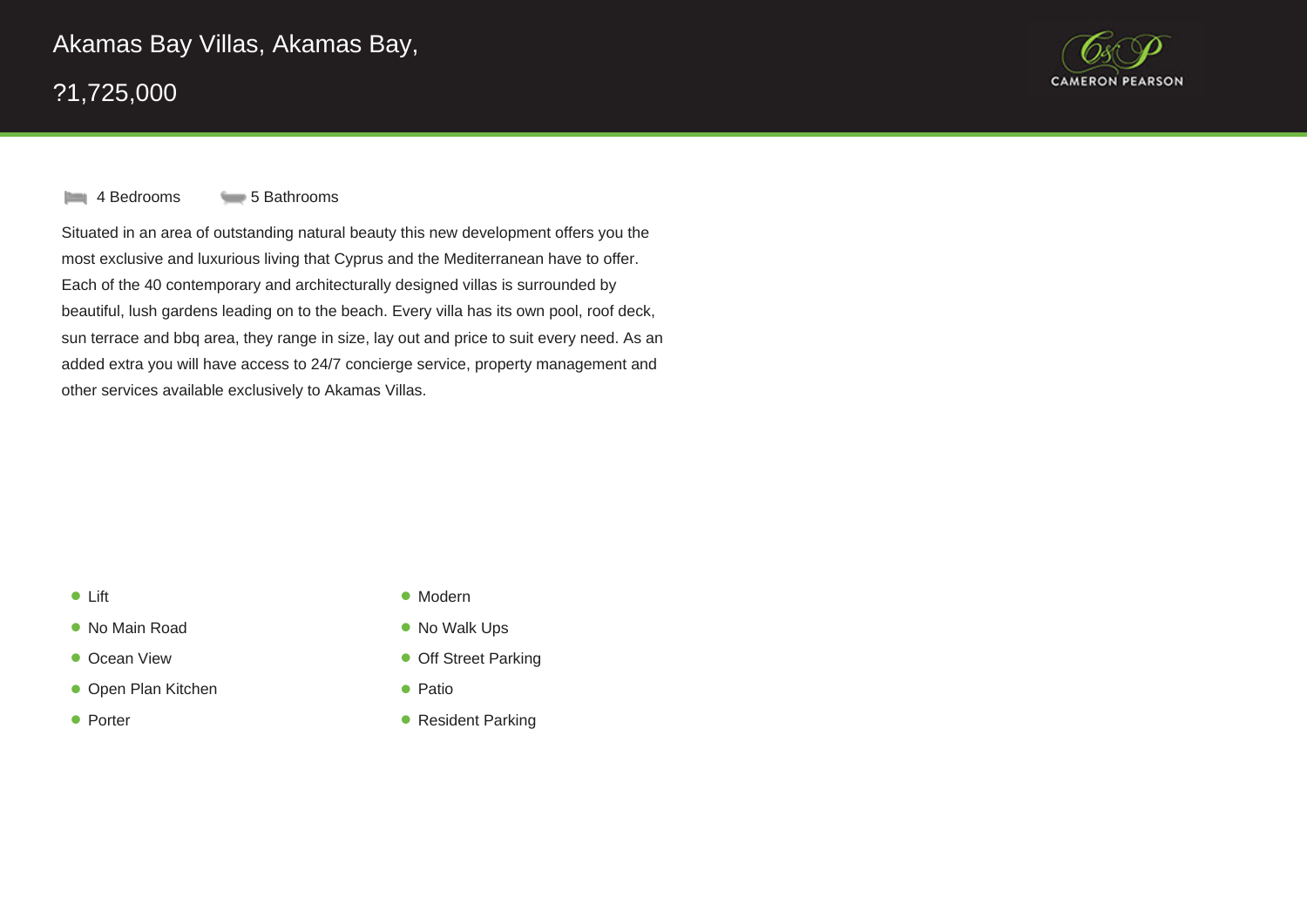



**4 Bedrooms** 5 Bathrooms

Situated in an area of outstanding natural beauty this new development offers you the most exclusive and luxurious living that Cyprus and the Mediterranean have to offer. Each of the 40 contemporary and architecturally designed villas is surrounded by beautiful, lush gardens leading on to the beach. Every villa has its own pool, roof deck, sun terrace and bbq area, they range in size, lay out and price to suit every need. As an added extra you will have access to 24/7 concierge service, property management and other services available exclusively to Akamas Villas.

## • Lift  $\bullet$

- No Main Road
- Ocean View
- Open Plan Kitchen **Patio** Patio
- Porter  $\bullet$
- Lift Modern
	- $\bullet$  No Walk Ups
	- **Orf Street Parking**
	-
- Porter **Porter Resident Parking**